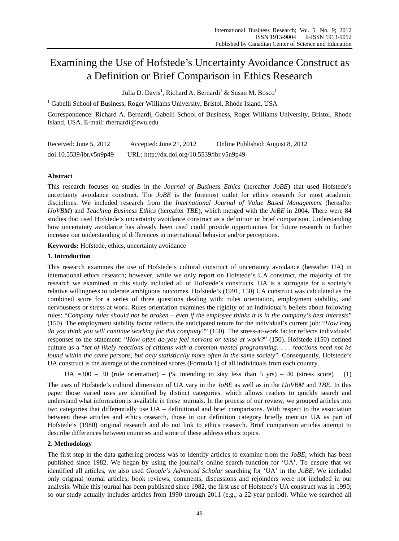# Examining the Use of Hofstede's Uncertainty Avoidance Construct as a Definition or Brief Comparison in Ethics Research

Julia D. Davis<sup>1</sup>, Richard A. Bernardi<sup>1</sup> & Susan M. Bosco<sup>1</sup>

<sup>1</sup> Gabelli School of Business, Roger Williams University, Bristol, Rhode Island, USA

Correspondence: Richard A. Bernardi, Gabelli School of Business, Roger Williams University, Bristol, Rhode Island, USA. E-mail: rbernardi@rwu.edu

| Received: June $5, 2012$ | Accepted: June $21, 2012$                  | Online Published: August 8, 2012 |
|--------------------------|--------------------------------------------|----------------------------------|
| doi:10.5539/ibr.v5n9p49  | URL: http://dx.doi.org/10.5539/ibr.v5n9p49 |                                  |

# **Abstract**

This research focuses on studies in the *Journal of Business Ethics* (hereafter *JoBE*) that used Hofstede's uncertainty avoidance construct. The *JoBE* is the foremost outlet for ethics research for most academic disciplines. We included research from the *International Journal of Value Based Management* (hereafter *IJoVBM*) and *Teaching Business Ethics* (hereafter *TBE*), which merged with the *JoBE* in 2004. There were 84 studies that used Hofstede's uncertainty avoidance construct as a definition or brief comparison. Understanding how uncertainty avoidance has already been used could provide opportunities for future research to further increase our understanding of differences in international behavior and/or perceptions.

**Keywords:** Hofstede, ethics, uncertainty avoidance

# **1. Introduction**

This research examines the use of Hofstede's cultural construct of uncertainty avoidance (hereafter UA) in international ethics research; however, while we only report on Hofstede's UA construct, the majority of the research we examined in this study included all of Hofstede's constructs. UA is a surrogate for a society's relative willingness to tolerate ambiguous outcomes. Hofstede's (1991, 150) UA construct was calculated as the combined score for a series of three questions dealing with: rules orientation, employment stability, and nervousness or stress at work. Rules orientation examines the rigidity of an individual's beliefs about following rules: "*Company rules should not be broken – even if the employee thinks it is in the company's best interests*" (150). The employment stability factor reflects the anticipated tenure for the individual's current job: "*How long do you think you will continue working for this company?*" (150). The stress-at-work factor reflects individuals' responses to the statement: "*How often do you feel nervous or tense at work?*" (150). Hofstede (150) defined culture as a "*set of likely reactions of citizens with a common mental programming. . . . reactions need not be found within the same persons, but only statistically more often in the same society*". Consequently, Hofstede's UA construct is the average of the combined scores (Formula 1) of all individuals from each country.

UA  $=300 - 30$  (rule orientation) – (% intending to stay less than 5 yrs) – 40 (stress score) (1)

The uses of Hofstede's cultural dimension of UA vary in the *JoBE* as well as in the *IJoVBM* and *TBE*. In this paper those varied uses are identified by distinct categories, which allows readers to quickly search and understand what information is available in these journals. In the process of our review, we grouped articles into two categories that differentially use UA – definitional and brief comparisons. With respect to the association between these articles and ethics research, those in our definition category briefly mention UA as part of Hofstede's (1980) original research and do not link to ethics research. Brief comparison articles attempt to describe differences between countries and some of these address ethics topics.

## **2. Methodology**

The first step in the data gathering process was to identify articles to examine from the *JoBE*, which has been published since 1982. We began by using the journal's online search function for 'UA'. To ensure that we identified all articles, we also used *Google's Advanced Scholar* searching for 'UA' in the *JoBE*. We included only original journal articles; book reviews, comments, discussions and rejoinders were not included in our analysis. While this journal has been published since 1982, the first use of Hofstede's UA construct was in 1990; so our study actually includes articles from 1990 through 2011 (e.g., a 22-year period). While we searched all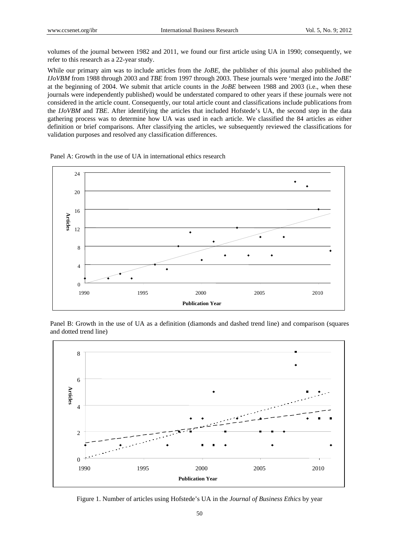volumes of the journal between 1982 and 2011, we found our first article using UA in 1990; consequently, we refer to this research as a 22-year study.

While our primary aim was to include articles from the *JoBE*, the publisher of this journal also published the *IJoVBM* from 1988 through 2003 and *TBE* from 1997 through 2003. These journals were 'merged into the *JoBE*' at the beginning of 2004. We submit that article counts in the *JoBE* between 1988 and 2003 (i.e., when these journals were independently published) would be understated compared to other years if these journals were not considered in the article count. Consequently, our total article count and classifications include publications from the *IJoVBM* and *TBE*. After identifying the articles that included Hofstede's UA, the second step in the data gathering process was to determine how UA was used in each article. We classified the 84 articles as either definition or brief comparisons. After classifying the articles, we subsequently reviewed the classifications for validation purposes and resolved any classification differences.

Panel A: Growth in the use of UA in international ethics research



Panel B: Growth in the use of UA as a definition (diamonds and dashed trend line) and comparison (squares and dotted trend line)



Figure 1. Number of articles using Hofstede's UA in the *Journal of Business Ethics* by year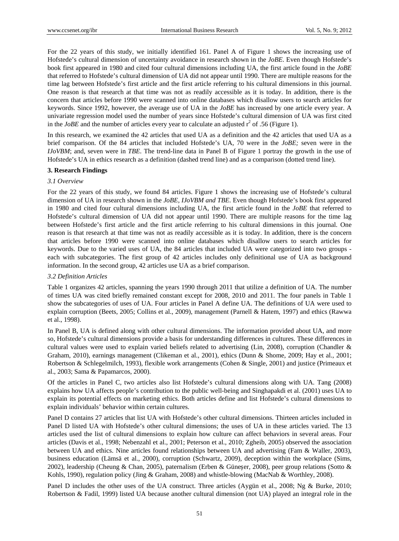For the 22 years of this study, we initially identified 161. Panel A of Figure 1 shows the increasing use of Hofstede's cultural dimension of uncertainty avoidance in research shown in the *JoBE*. Even though Hofstede's book first appeared in 1980 and cited four cultural dimensions including UA, the first article found in the *JoBE* that referred to Hofstede's cultural dimension of UA did not appear until 1990. There are multiple reasons for the time lag between Hofstede's first article and the first article referring to his cultural dimensions in this journal. One reason is that research at that time was not as readily accessible as it is today. In addition, there is the concern that articles before 1990 were scanned into online databases which disallow users to search articles for keywords. Since 1992, however, the average use of UA in the *JoBE* has increased by one article every year. A univariate regression model used the number of years since Hofstede's cultural dimension of UA was first cited in the *JoBE* and the number of articles every year to calculate an adjusted  $r^2$  of .56 (Figure 1).

In this research, we examined the 42 articles that used UA as a definition and the 42 articles that used UA as a brief comparison. Of the 84 articles that included Hofstede's UA, 70 were in the *JoBE;* seven were in the *IJoVBM*; and, seven were in *TBE*. The trend-line data in Panel B of Figure 1 portray the growth in the use of Hofstede's UA in ethics research as a definition (dashed trend line) and as a comparison (dotted trend line).

## **3. Research Findings**

## *3.1 Overview*

For the 22 years of this study, we found 84 articles. Figure 1 shows the increasing use of Hofstede's cultural dimension of UA in research shown in the *JoBE, IJoVBM and TBE*. Even though Hofstede's book first appeared in 1980 and cited four cultural dimensions including UA, the first article found in the *JoBE* that referred to Hofstede's cultural dimension of UA did not appear until 1990. There are multiple reasons for the time lag between Hofstede's first article and the first article referring to his cultural dimensions in this journal. One reason is that research at that time was not as readily accessible as it is today. In addition, there is the concern that articles before 1990 were scanned into online databases which disallow users to search articles for keywords. Due to the varied uses of UA, the 84 articles that included UA were categorized into two groups each with subcategories. The first group of 42 articles includes only definitional use of UA as background information. In the second group, 42 articles use UA as a brief comparison.

### *3.2 Definition Articles*

Table 1 organizes 42 articles, spanning the years 1990 through 2011 that utilize a definition of UA. The number of times UA was cited briefly remained constant except for 2008, 2010 and 2011. The four panels in Table 1 show the subcategories of uses of UA. Four articles in Panel A define UA. The definitions of UA were used to explain corruption (Beets, 2005; Collins et al., 2009), management (Parnell & Hatem, 1997) and ethics (Rawwa et al., 1998).

In Panel B, UA is defined along with other cultural dimensions. The information provided about UA, and more so, Hofstede's cultural dimensions provide a basis for understanding differences in cultures. These differences in cultural values were used to explain varied beliefs related to advertising (Lin, 2008), corruption (Chandler & Graham, 2010), earnings management (Clikeman et al., 2001), ethics (Dunn & Shome, 2009; Hay et al., 2001; Robertson & Schlegelmilch, 1993), flexible work arrangements (Cohen & Single, 2001) and justice (Primeaux et al., 2003; Sama & Papamarcos, 2000).

Of the articles in Panel C, two articles also list Hofstede's cultural dimensions along with UA. Tang (2008) explains how UA affects people's contribution to the public well-being and Singhapakdi et al. (2001) uses UA to explain its potential effects on marketing ethics. Both articles define and list Hofstede's cultural dimensions to explain individuals' behavior within certain cultures.

Panel D contains 27 articles that list UA with Hofstede's other cultural dimensions. Thirteen articles included in Panel D listed UA with Hofstede's other cultural dimensions; the uses of UA in these articles varied. The 13 articles used the list of cultural dimensions to explain how culture can affect behaviors in several areas. Four articles (Davis et al., 1998; Nebenzahl et al., 2001; Peterson et al., 2010; Zgheib, 2005) observed the association between UA and ethics. Nine articles found relationships between UA and advertising (Fam & Waller, 2003), business education (Lämsä et al., 2000), corruption (Schwartz, 2009), deception within the workplace (Sims, 2002), leadership (Cheung & Chan, 2005), paternalism (Erben & Güneșer, 2008), peer group relations (Sotto & Kohls, 1990), regulation policy (Jing & Graham, 2008) and whistle-blowing (MacNab & Worthley, 2008).

Panel D includes the other uses of the UA construct. Three articles (Aygün et al., 2008; Ng & Burke, 2010; Robertson & Fadil, 1999) listed UA because another cultural dimension (not UA) played an integral role in the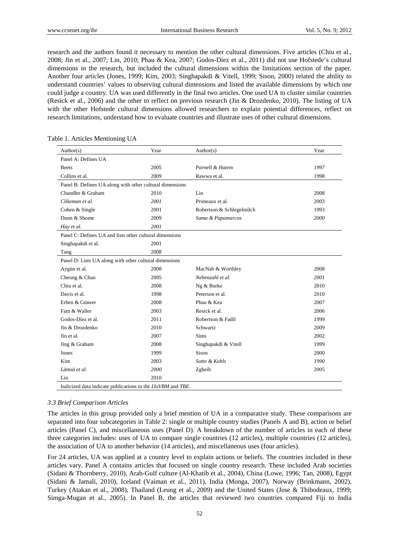research and the authors found it necessary to mention the other cultural dimensions. Five articles (Chiu et al., 2008; Jin et al., 2007; Lin, 2010; Phau & Kea, 2007; Godos-Díez et al., 2011) did not use Hofstede's cultural dimensions in the research, but included the cultural dimensions within the limitations section of the paper. Another four articles (Jones, 1999; Kim, 2003; Singhapakdi & Vitell, 1999; Sison, 2000) related the ability to understand countries' values to observing cultural dimensions and listed the available dimensions by which one could judge a country. UA was used differently in the final two articles. One used UA to cluster similar countries (Resick et al., 2006) and the other to reflect on previous research (Jin & Drozdenko, 2010). The listing of UA with the other Hofstede cultural dimensions allowed researchers to explain potential differences, reflect on research limitations, understand how to evaluate countries and illustrate uses of other cultural dimensions.

| Author(s)                                                | Year | Author(s)                 | Year |
|----------------------------------------------------------|------|---------------------------|------|
| Panel A: Defines UA                                      |      |                           |      |
| <b>Beets</b>                                             | 2005 | Parnell & Hatem           | 1997 |
| Collins et al.                                           | 2009 | Rawwa et al.              | 1998 |
| Panel B: Defines UA along with other cultural dimensions |      |                           |      |
| Chandler & Graham                                        | 2010 | Lin                       | 2008 |
| Clikeman et al.                                          | 2001 | Primeaux et al.           | 2003 |
| Cohen & Single                                           | 2001 | Robertson & Schlegelmilch | 1993 |
| Dunn & Shome                                             | 2009 | Sama & Papamarcos         | 2000 |
| Hay et al.                                               | 2001 |                           |      |
| Panel C: Defines UA and lists other cultural dimensions  |      |                           |      |
| Singhapakdi et al.                                       | 2001 |                           |      |
| Tang                                                     | 2008 |                           |      |
| Panel D: Lists UA along with other cultural dimensions   |      |                           |      |
| Aygün et al.                                             | 2008 | MacNab & Worthley         | 2008 |
| Cheung & Chan                                            | 2005 | Nebenzahl et al.          | 2001 |
| Chiu et al.                                              | 2008 | Ng & Burke                | 2010 |
| Davis et al.                                             | 1998 | Peterson et al.           | 2010 |
| Erben & Güneer                                           | 2008 | Phau & Kea                | 2007 |
| Fam & Waller                                             | 2003 | Resick et al.             | 2006 |
| Godos-Díez et al.                                        | 2011 | Robertson & Fadil         | 1999 |
| Jin & Drozdenko                                          | 2010 | Schwartz                  | 2009 |
| Jin et al.                                               | 2007 | <b>Sims</b>               | 2002 |
| Jing & Graham                                            | 2008 | Singhapakdi & Vitell      | 1999 |
| Jones                                                    | 1999 | Sison                     | 2000 |
| Kim                                                      | 2003 | Sotto & Kohls             | 1990 |
| Lämsä et al.                                             | 2000 | Zgheib                    | 2005 |
| Lin                                                      | 2010 |                           |      |

|  |  | Table 1. Articles Mentioning UA |  |
|--|--|---------------------------------|--|
|--|--|---------------------------------|--|

#### *3.3 Brief Comparison Articles*

The articles in this group provided only a brief mention of UA in a comparative study. These comparisons are separated into four subcategories in Table 2: single or multiple country studies (Panels A and B), action or belief articles (Panel C), and miscellaneous uses (Panel D). A breakdown of the number of articles in each of these three categories includes: uses of UA to compare single countries (12 articles), multiple countries (12 articles), the association of UA to another behavior (14 articles), and miscellaneous uses (four articles).

For 24 articles, UA was applied at a country level to explain actions or beliefs. The countries included in these articles vary. Panel A contains articles that focused on single country research. These included Arab societies (Sidani & Thornberry, 2010), Arab-Gulf culture (Al-Khatib et al., 2004), China (Lowe, 1996; Tan, 2008), Egypt (Sidani & Jamali, 2010), Iceland (Vaiman et al., 2011), India (Monga, 2007), Norway (Brinkmann, 2002), Turkey (Atakan et al., 2008), Thailand (Leung et al., 2009) and the United States (Jose & Thibodeaux, 1999; Simga-Mugan et al., 2005). In Panel B, the articles that reviewed two countries compared Fiji to India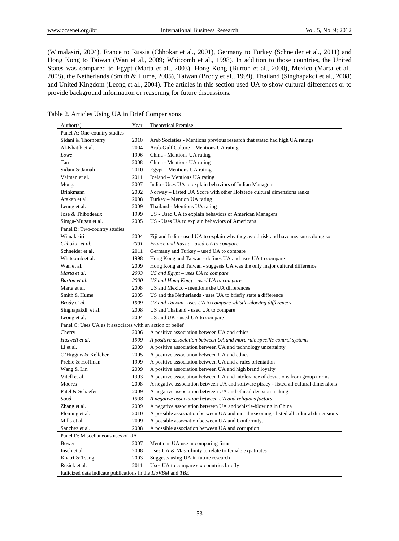(Wimalasiri, 2004), France to Russia (Chhokar et al., 2001), Germany to Turkey (Schneider et al., 2011) and Hong Kong to Taiwan (Wan et al., 2009; Whitcomb et al., 1998). In addition to those countries, the United States was compared to Egypt (Marta et al., 2003), Hong Kong (Burton et al., 2000), Mexico (Marta et al., 2008), the Netherlands (Smith & Hume, 2005), Taiwan (Brody et al., 1999), Thailand (Singhapakdi et al., 2008) and United Kingdom (Leong et al., 2004). The articles in this section used UA to show cultural differences or to provide background information or reasoning for future discussions.

| Table 2. Articles Using UA in Brief Comparisons |  |  |  |  |  |  |
|-------------------------------------------------|--|--|--|--|--|--|
|-------------------------------------------------|--|--|--|--|--|--|

| Author(s)                                                    | Year | <b>Theoretical Premise</b>                                                             |
|--------------------------------------------------------------|------|----------------------------------------------------------------------------------------|
| Panel A: One-country studies                                 |      |                                                                                        |
| Sidani & Thornberry                                          | 2010 | Arab Societies - Mentions previous research that stated had high UA ratings            |
| Al-Khatib et al.                                             | 2004 | Arab-Gulf Culture - Mentions UA rating                                                 |
| Lowe                                                         | 1996 | China - Mentions UA rating                                                             |
| Tan                                                          | 2008 | China - Mentions UA rating                                                             |
| Sidani & Jamali                                              | 2010 | Egypt – Mentions UA rating                                                             |
| Vaiman et al.                                                | 2011 | Iceland – Mentions UA rating                                                           |
| Monga                                                        | 2007 | India - Uses UA to explain behaviors of Indian Managers                                |
| Brinkmann                                                    | 2002 | Norway – Listed UA Score with other Hofstede cultural dimensions ranks                 |
| Atakan et al.                                                | 2008 | Turkey - Mention UA rating                                                             |
| Leung et al.                                                 | 2009 | Thailand - Mentions UA rating                                                          |
| Jose & Thibodeaux                                            | 1999 | US - Used UA to explain behaviors of American Managers                                 |
| Simga-Mugan et al.                                           | 2005 | US - Uses UA to explain behaviors of Americans                                         |
| Panel B: Two-country studies                                 |      |                                                                                        |
| Wimalasiri                                                   | 2004 | Fiji and India - used UA to explain why they avoid risk and have measures doing so     |
| Chhokar et al.                                               | 2001 | France and Russia -used UA to compare                                                  |
| Schneider et al.                                             | 2011 | Germany and Turkey - used UA to compare                                                |
| Whitcomb et al.                                              | 1998 | Hong Kong and Taiwan - defines UA and uses UA to compare                               |
| Wan et al.                                                   | 2009 | Hong Kong and Taiwan - suggests UA was the only major cultural difference              |
| Marta et al.                                                 | 2003 | $US$ and $ Egypt - uses UA$ to compare                                                 |
| Burton et al.                                                | 2000 | US and Hong Kong - used UA to compare                                                  |
| Marta et al.                                                 | 2008 | US and Mexico - mentions the UA differences                                            |
| Smith & Hume                                                 | 2005 | US and the Netherlands - uses UA to briefly state a difference                         |
| Brody et al.                                                 | 1999 | US and Taiwan -uses UA to compare whistle-blowing differences                          |
| Singhapakdi, et al.                                          | 2008 | US and Thailand - used UA to compare                                                   |
| Leong et al.                                                 | 2004 | US and UK - used UA to compare                                                         |
| Panel C: Uses UA as it associates with an action or belief   |      |                                                                                        |
| Cherry                                                       | 2006 | A positive association between UA and ethics                                           |
| Haswell et al.                                               | 1999 | A positive association between UA and more rule specific control systems               |
| Li et al.                                                    | 2009 | A positive association between UA and technology uncertainty                           |
| O'Higgins & Kelleher                                         | 2005 | A positive association between UA and ethics                                           |
| Preble & Hoffman                                             | 1999 | A positive association between UA and a rules orientation                              |
| Wang & Lin                                                   | 2009 | A positive association between UA and high brand loyalty                               |
| Vitell et al.                                                | 1993 | A positive association between UA and intolerance of deviations from group norms       |
| <b>Moores</b>                                                | 2008 | A negative association between UA and software piracy - listed all cultural dimensions |
| Patel & Schaefer                                             | 2009 | A negative association between UA and ethical decision making                          |
| Sood                                                         | 1998 | A negative association between UA and religious factors                                |
| Zhang et al.                                                 | 2009 | A negative association between UA and whistle-blowing in China                         |
| Fleming et al.                                               | 2010 | A possible association between UA and moral reasoning - listed all cultural dimensions |
| Mills et al.                                                 | 2009 | A possible association between UA and Conformity.                                      |
| Sanchez et al.                                               | 2008 | A possible association between UA and corruption                                       |
| Panel D: Miscellaneous uses of UA                            |      |                                                                                        |
| Bowen                                                        | 2007 | Mentions UA use in comparing firms                                                     |
| Insch et al.                                                 | 2008 | Uses UA & Masculinity to relate to female expatriates                                  |
| Khatri & Tsang                                               | 2003 | Suggests using UA in future research                                                   |
| Resick et al.                                                | 2011 | Uses UA to compare six countries briefly                                               |
| Italicized data indicate publications in the IJoVBM and TBE. |      |                                                                                        |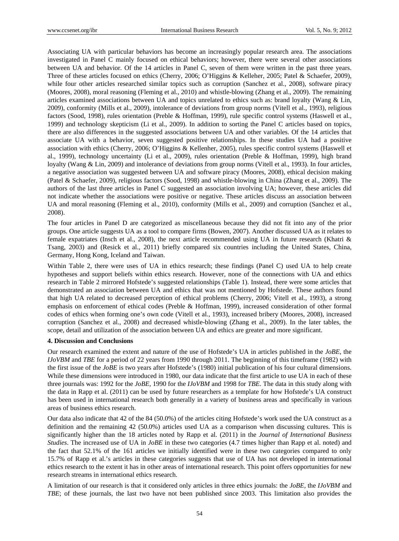Associating UA with particular behaviors has become an increasingly popular research area. The associations investigated in Panel C mainly focused on ethical behaviors; however, there were several other associations between UA and behavior. Of the 14 articles in Panel C, seven of them were written in the past three years. Three of these articles focused on ethics (Cherry, 2006; O'Higgins & Kelleher, 2005; Patel & Schaefer, 2009), while four other articles researched similar topics such as corruption (Sanchez et al., 2008), software piracy (Moores, 2008), moral reasoning (Fleming et al., 2010) and whistle-blowing (Zhang et al., 2009). The remaining articles examined associations between UA and topics unrelated to ethics such as: brand loyalty (Wang & Lin, 2009), conformity (Mills et al., 2009), intolerance of deviations from group norms (Vitell et al., 1993), religious factors (Sood, 1998), rules orientation (Preble & Hoffman, 1999), rule specific control systems (Haswell et al., 1999) and technology skepticism (Li et al., 2009). In addition to sorting the Panel C articles based on topics, there are also differences in the suggested associations between UA and other variables. Of the 14 articles that associate UA with a behavior, seven suggested positive relationships. In these studies UA had a positive association with ethics (Cherry, 2006; O'Higgins & Kellenher, 2005), rules specific control systems (Haswell et al., 1999), technology uncertainty (Li et al., 2009), rules orientation (Preble & Hoffman, 1999), high brand loyalty (Wang & Lin, 2009) and intolerance of deviations from group norms (Vitell et al., 1993). In four articles, a negative association was suggested between UA and software piracy (Moores, 2008), ethical decision making (Patel & Schaefer, 2009), religious factors (Sood, 1998) and whistle-blowing in China (Zhang et al., 2009). The authors of the last three articles in Panel C suggested an association involving UA; however, these articles did not indicate whether the associations were positive or negative. These articles discuss an association between UA and moral reasoning (Fleming et al., 2010), conformity (Mills et al., 2009) and corruption (Sanchez et al., 2008).

The four articles in Panel D are categorized as miscellaneous because they did not fit into any of the prior groups. One article suggests UA as a tool to compare firms (Bowen, 2007). Another discussed UA as it relates to female expatriates (Insch et al., 2008), the next article recommended using UA in future research (Khatri & Tsang, 2003) and (Resick et al., 2011) briefly compared six countries including the United States, China, Germany, Hong Kong, Iceland and Taiwan.

Within Table 2, there were uses of UA in ethics research; these findings (Panel C) used UA to help create hypotheses and support beliefs within ethics research. However, none of the connections with UA and ethics research in Table 2 mirrored Hofstede's suggested relationships (Table 1). Instead, there were some articles that demonstrated an association between UA and ethics that was not mentioned by Hofstede. These authors found that high UA related to decreased perception of ethical problems (Cherry, 2006; Vitell et al., 1993), a strong emphasis on enforcement of ethical codes (Preble & Hoffman, 1999), increased consideration of other formal codes of ethics when forming one's own code (Vitell et al., 1993), increased bribery (Moores, 2008), increased corruption (Sanchez et al., 2008) and decreased whistle-blowing (Zhang et al., 2009). In the later tables, the scope, detail and utilization of the association between UA and ethics are greater and more significant.

## **4. Discussion and Conclusions**

Our research examined the extent and nature of the use of Hofstede's UA in articles published in the *JoBE,* the *IJoVBM* and *TBE* for a period of 22 years from 1990 through 2011. The beginning of this timeframe (1982) with the first issue of the *JoBE* is two years after Hofstede's (1980) initial publication of his four cultural dimensions. While these dimensions were introduced in 1980, our data indicate that the first article to use UA in each of these three journals was: 1992 for the *JoBE,* 1990 for the *IJoVBM* and 1998 for *TBE*. The data in this study along with the data in Rapp et al. (2011) can be used by future researchers as a template for how Hofstede's UA construct has been used in international research both generally in a variety of business areas and specifically in various areas of business ethics research.

Our data also indicate that 42 of the 84 (50.0%) of the articles citing Hofstede's work used the UA construct as a definition and the remaining 42 (50.0%) articles used UA as a comparison when discussing cultures. This is significantly higher than the 18 articles noted by Rapp et al. (2011) in the *Journal of International Business Studies*. The increased use of UA in *JoBE* in these two categories (4.7 times higher than Rapp et al. noted) and the fact that 52.1% of the 161 articles we initially identified were in these two categories compared to only 15.7% of Rapp et al.'s articles in these categories suggests that use of UA has not developed in international ethics research to the extent it has in other areas of international research. This point offers opportunities for new research streams in international ethics research.

A limitation of our research is that it considered only articles in three ethics journals: the *JoBE,* the *IJoVBM* and *TBE*; of these journals, the last two have not been published since 2003. This limitation also provides the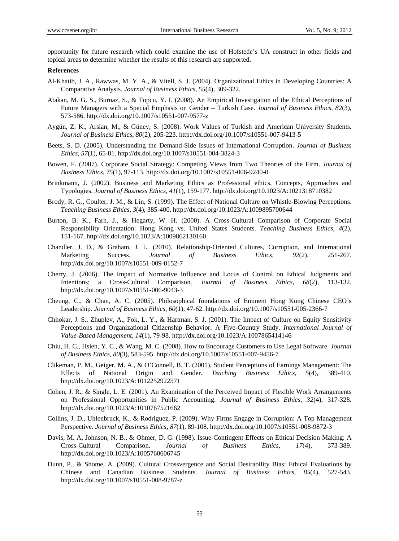opportunity for future research which could examine the use of Hofstede's UA construct in other fields and topical areas to determine whether the results of this research are supported.

### **References**

- Al-Khatib, J. A., Rawwas, M. Y. A., & Vitell, S. J. (2004). Organizational Ethics in Developing Countries: A Comparative Analysis. *Journal of Business Ethics*, *55*(4), 309-322.
- Atakan, M. G. S., Burnaz, S., & Topcu, Y. I. (2008). An Empirical Investigation of the Ethical Perceptions of Future Managers with a Special Emphasis on Gender – Turkish Case. *Journal of Business Ethics*, *82*(3), 573-586. http://dx.doi.org/10.1007/s10551-007-9577-z
- Aygün, Z. K., Arslan, M., & Güney, S. (2008). Work Values of Turkish and American University Students. *Journal of Business Ethics*, *80*(2), 205-223. http://dx.doi.org/10.1007/s10551-007-9413-5
- Beets, S. D. (2005). Understanding the Demand-Side Issues of International Corruption. *Journal of Business Ethics, 57*(1), 65-81. http://dx.doi.org/10.1007/s10551-004-3824-3
- Bowen, F. (2007). Corporate Social Strategy: Competing Views from Two Theories of the Firm. *Journal of Business Ethics, 75*(1), 97-113. http://dx.doi.org/10.1007/s10551-006-9240-0
- Brinkmann, J. (2002). Business and Marketing Ethics as Professional ethics, Concepts, Approaches and Typologies. *Journal of Business Ethics, 41*(1), 159-177. http://dx.doi.org/10.1023/A:1021318710382
- Brody, R. G., Coulter, J. M., & Lin, S. (1999). The Effect of National Culture on Whistle-Blowing Perceptions. *Teaching Business Ethics, 3*(4), 385-400. http://dx.doi.org/10.1023/A:1009895700644
- Burton, B. K., Farh, J., & Hegarty, W. H. (2000). A Cross-Cultural Comparison of Corporate Social Responsibility Orientation: Hong Kong vs. United States Students. *Teaching Business Ethics, 4*(2), 151-167. http://dx.doi.org/10.1023/A:1009862130160
- Chandler, J. D., & Graham, J. L. (2010). Relationship-Oriented Cultures, Corruption, and International Marketing Success. *Journal of Business Ethics, 92*(2), 251-267. http://dx.doi.org/10.1007/s10551-009-0152-7
- Cherry, J. (2006). The Impact of Normative Influence and Locus of Control on Ethical Judgments and Intentions: a Cross-Cultural Comparison. *Journal of Business Ethics, 68*(2), 113-132. http://dx.doi.org/10.1007/s10551-006-9043-3
- Cheung, C., & Chan, A. C. (2005). Philosophical foundations of Eminent Hong Kong Chinese CEO's Leadership. *Journal of Business Ethics, 60*(1), 47-62. http://dx.doi.org/10.1007/s10551-005-2366-7
- Chhokar, J. S., Zhuplev, A., Fok, L. Y., & Hartman, S. J. (2001). The Impact of Culture on Equity Sensitivity Perceptions and Organizational Citizenship Behavior: A Five-Country Study. *International Journal of Value-Based Management, 14*(1), 79-98. http://dx.doi.org/10.1023/A:1007865414146
- Chiu, H. C., Hsieh, Y. C., & Wang, M. C. (2008). How to Encourage Customers to Use Legal Software. *Journal of Business Ethics, 80*(3), 583-595. http://dx.doi.org/10.1007/s10551-007-9456-7
- Clikeman, P. M., Geiger, M. A., & O'Connell, B. T. (2001). Student Perceptions of Earnings Management: The Effects of National Origin and Gender. *Teaching Business Ethics, 5*(4), 389-410. http://dx.doi.org/10.1023/A:1012252922571
- Cohen, J. R., & Single, L. E. (2001). An Examination of the Perceived Impact of Flexible Work Arrangements on Professional Opportunities in Public Accounting. *Journal of Business Ethics, 32*(4), 317-328. http://dx.doi.org/10.1023/A:1010767521662
- Collins, J. D., Uhlenbruck, K., & Rodriguez, P. (2009). Why Firms Engage in Corruption: A Top Management Perspective. *Journal of Business Ethics, 87*(1), 89-108. http://dx.doi.org/10.1007/s10551-008-9872-3
- Davis, M. A, Johnson, N. B., & Ohmer, D. G. (1998). Issue-Contingent Effects on Ethical Decision Making: A Cross-Cultural Comparison. *Journal of Business Ethics, 17*(4), 373-389. http://dx.doi.org/10.1023/A:1005760606745
- Dunn, P., & Shome, A. (2009). Cultural Crossvergence and Social Desirability Bias: Ethical Evaluations by Chinese and Canadian Business Students. *Journal of Business Ethics, 85*(4), 527-543. http://dx.doi.org/10.1007/s10551-008-9787-z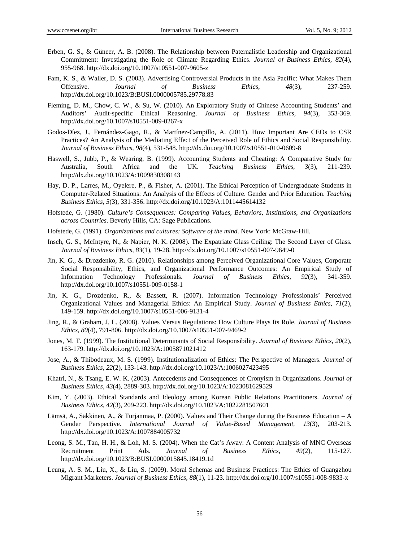- Erben, G. S., & Güneer, A. B. (2008). The Relationship between Paternalistic Leadership and Organizational Commitment: Investigating the Role of Climate Regarding Ethics. *Journal of Business Ethics, 82*(4), 955-968. http://dx.doi.org/10.1007/s10551-007-9605-z
- Fam, K. S., & Waller, D. S. (2003). Advertising Controversial Products in the Asia Pacific: What Makes Them Offensive. *Journal of Business Ethics, 48*(3), 237-259. http://dx.doi.org/10.1023/B:BUSI.0000005785.29778.83
- Fleming, D. M., Chow, C. W., & Su, W. (2010). An Exploratory Study of Chinese Accounting Students' and Auditors' Audit-specific Ethical Reasoning. *Journal of Business Ethics, 94*(3), 353-369. http://dx.doi.org/10.1007/s10551-009-0267-x
- Godos-Díez, J., Fernández-Gago, R., & Martínez-Campillo, A. (2011). How Important Are CEOs to CSR Practices? An Analysis of the Mediating Effect of the Perceived Role of Ethics and Social Responsibility. *Journal of Business Ethics, 98*(4), 531-548. http://dx.doi.org/10.1007/s10551-010-0609-8
- Haswell, S., Jubb, P., & Wearing, B. (1999). Accounting Students and Cheating: A Comparative Study for Australia, South Africa and the UK. *Teaching Business Ethics, 3*(3), 211-239. http://dx.doi.org/10.1023/A:1009830308143
- Hay, D. P., Larres, M., Oyelere, P., & Fisher, A. (2001). The Ethical Perception of Undergraduate Students in Computer-Related Situations: An Analysis of the Effects of Culture. Gender and Prior Education. *Teaching Business Ethics, 5*(3), 331-356. http://dx.doi.org/10.1023/A:1011445614132
- Hofstede, G. (1980). *Culture's Consequences: Comparing Values, Behaviors, Institutions, and Organizations across Countries*. Beverly Hills, CA: Sage Publications.
- Hofstede, G. (1991). *Organizations and cultures: Software of the mind*. New York: McGraw-Hill.
- Insch, G. S., McIntyre, N., & Napier, N. K. (2008). The Expatriate Glass Ceiling: The Second Layer of Glass. *Journal of Business Ethics, 83*(1), 19-28. http://dx.doi.org/10.1007/s10551-007-9649-0
- Jin, K. G., & Drozdenko, R. G. (2010). Relationships among Perceived Organizational Core Values, Corporate Social Responsibility, Ethics, and Organizational Performance Outcomes: An Empirical Study of Information Technology Professionals. *Journal of Business Ethics, 92*(3), 341-359. http://dx.doi.org/10.1007/s10551-009-0158-1
- Jin, K. G., Drozdenko, R., & Bassett, R. (2007). Information Technology Professionals' Perceived Organizational Values and Managerial Ethics: An Empirical Study. *Journal of Business Ethics, 71*(2), 149-159. http://dx.doi.org/10.1007/s10551-006-9131-4
- Jing, R., & Graham, J. L. (2008). Values Versus Regulations: How Culture Plays Its Role. *Journal of Business Ethics, 80*(4), 791-806. http://dx.doi.org/10.1007/s10551-007-9469-2
- Jones, M. T. (1999). The Institutional Determinants of Social Responsibility. *Journal of Business Ethics, 20*(2), 163-179. http://dx.doi.org/10.1023/A:1005871021412
- Jose, A., & Thibodeaux, M. S. (1999). Institutionalization of Ethics: The Perspective of Managers. *Journal of Business Ethics, 22*(2), 133-143. http://dx.doi.org/10.1023/A:1006027423495
- Khatri, N., & Tsang, E. W. K. (2003). Antecedents and Consequences of Cronyism in Organizations. *Journal of Business Ethics, 43*(4), 2889-303. http://dx.doi.org/10.1023/A:1023081629529
- Kim, Y. (2003). Ethical Standards and Ideology among Korean Public Relations Practitioners. *Journal of Business Ethics, 42*(3), 209-223. http://dx.doi.org/10.1023/A:1022281507601
- Lämsä, A., Säkkinen, A., & Turjanmaa, P. (2000). Values and Their Change during the Business Education A Gender Perspective. *International Journal of Value-Based Management, 13*(3), 203-213. http://dx.doi.org/10.1023/A:1007884005732
- Leong, S. M., Tan, H. H., & Loh, M. S. (2004). When the Cat's Away: A Content Analysis of MNC Overseas Recruitment Print Ads. *Journal of Business Ethics, 49*(2), 115-127. http://dx.doi.org/10.1023/B:BUSI.0000015845.18419.1d
- Leung, A. S. M., Liu, X., & Liu, S. (2009). Moral Schemas and Business Practices: The Ethics of Guangzhou Migrant Marketers. *Journal of Business Ethics, 88*(1), 11-23. http://dx.doi.org/10.1007/s10551-008-9833-x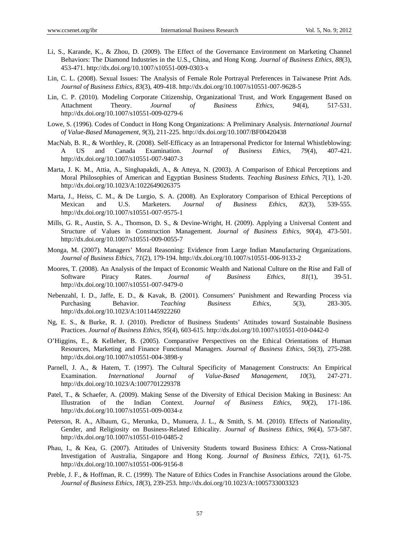- Li, S., Karande, K., & Zhou, D. (2009). The Effect of the Governance Environment on Marketing Channel Behaviors: The Diamond Industries in the U.S., China, and Hong Kong. *Journal of Business Ethics, 88*(3), 453-471. http://dx.doi.org/10.1007/s10551-009-0303-x
- Lin, C. L. (2008). Sexual Issues: The Analysis of Female Role Portrayal Preferences in Taiwanese Print Ads. *Journal of Business Ethics, 83*(3), 409-418. http://dx.doi.org/10.1007/s10551-007-9628-5
- Lin, C. P. (2010). Modeling Corporate Citizenship, Organizational Trust, and Work Engagement Based on Attachment Theory. *Journal of Business Ethics, 94*(4), 517-531. http://dx.doi.org/10.1007/s10551-009-0279-6
- Lowe, S. (1996). Codes of Conduct in Hong Kong Organizations: A Preliminary Analysis. *International Journal of Value-Based Management, 9*(3), 211-225. http://dx.doi.org/10.1007/BF00420438
- MacNab, B. R., & Worthley, R. (2008). Self-Efficacy as an Intrapersonal Predictor for Internal Whistleblowing: A US and Canada Examination. *Journal of Business Ethics, 79*(4), 407-421. http://dx.doi.org/10.1007/s10551-007-9407-3
- Marta, J. K. M., Attia, A., Singhapakdi, A., & Atteya, N. (2003). A Comparison of Ethical Perceptions and Moral Philosophies of American and Egyptian Business Students. *Teaching Business Ethics, 7*(1), 1-20. http://dx.doi.org/10.1023/A:1022649026375
- Marta, J., Heiss, C. M., & De Lurgio, S. A. (2008). An Exploratory Comparison of Ethical Perceptions of Mexican and U.S. Marketers. *Journal of Business Ethics, 82*(3), 539-555. http://dx.doi.org/10.1007/s10551-007-9575-1
- Mills, G. R., Austin, S. A., Thomson, D. S., & Devine-Wright, H. (2009). Applying a Universal Content and Structure of Values in Construction Management. *Journal of Business Ethics, 90*(4), 473-501. http://dx.doi.org/10.1007/s10551-009-0055-7
- Monga, M. (2007). Managers' Moral Reasoning: Evidence from Large Indian Manufacturing Organizations. *Journal of Business Ethics, 71*(2), 179-194. http://dx.doi.org/10.1007/s10551-006-9133-2
- Moores, T. (2008). An Analysis of the Impact of Economic Wealth and National Culture on the Rise and Fall of Software Piracy Rates. *Journal of Business Ethics, 81*(1), 39-51. http://dx.doi.org/10.1007/s10551-007-9479-0
- Nebenzahl, I. D., Jaffe, E. D., & Kavak, B. (2001). Consumers' Punishment and Rewarding Process via Purchasing Behavior. *Teaching Business Ethics, 5*(3), 283-305. http://dx.doi.org/10.1023/A:1011445922260
- Ng, E. S., & Burke, R. J. (2010). Predictor of Business Students' Attitudes toward Sustainable Business Practices. *Journal of Business Ethics, 95*(4), 603-615. http://dx.doi.org/10.1007/s10551-010-0442-0
- O'Higgins, E., & Kelleher, B. (2005). Comparative Perspectives on the Ethical Orientations of Human Resources, Marketing and Finance Functional Managers. *Journal of Business Ethics, 56*(3), 275-288. http://dx.doi.org/10.1007/s10551-004-3898-y
- Parnell, J. A., & Hatem, T. (1997). The Cultural Specificity of Management Constructs: An Empirical Examination. *International Journal of Value-Based Management, 10*(3), 247-271. http://dx.doi.org/10.1023/A:1007701229378
- Patel, T., & Schaefer, A. (2009). Making Sense of the Diversity of Ethical Decision Making in Business: An Illustration of the Indian Context. *Journal of Business Ethics, 90*(2), 171-186. http://dx.doi.org/10.1007/s10551-009-0034-z
- Peterson, R. A., Albaum, G., Merunka, D., Munuera, J. L., & Smith, S. M. (2010). Effects of Nationality, Gender, and Religiosity on Business-Related Ethicality. *Journal of Business Ethics, 96*(4), 573-587. http://dx.doi.org/10.1007/s10551-010-0485-2
- Phau, I., & Kea, G. (2007). Attitudes of University Students toward Business Ethics: A Cross-National Investigation of Australia, Singapore and Hong Kong. *Journal of Business Ethics, 72*(1), 61-75. http://dx.doi.org/10.1007/s10551-006-9156-8
- Preble, J. F., & Hoffman, R. C. (1999). The Nature of Ethics Codes in Franchise Associations around the Globe. *Journal of Business Ethics, 18*(3), 239-253. http://dx.doi.org/10.1023/A:1005733003323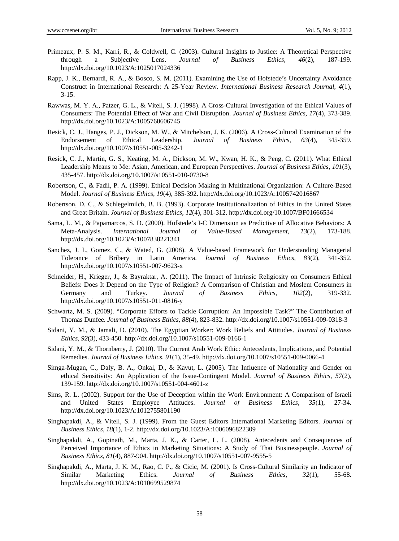- Primeaux, P. S. M., Karri, R., & Coldwell, C. (2003). Cultural Insights to Justice: A Theoretical Perspective through a Subjective Lens. *Journal of Business Ethics, 46*(2), 187-199. http://dx.doi.org/10.1023/A:1025017024336
- Rapp, J. K., Bernardi, R. A., & Bosco, S. M. (2011). Examining the Use of Hofstede's Uncertainty Avoidance Construct in International Research: A 25-Year Review. *International Business Research Journal*, *4*(1), 3-15.
- Rawwas, M. Y. A., Patzer, G. L., & Vitell, S. J. (1998). A Cross-Cultural Investigation of the Ethical Values of Consumers: The Potential Effect of War and Civil Disruption. *Journal of Business Ethics, 17*(4), 373-389. http://dx.doi.org/10.1023/A:1005760606745
- Resick, C. J., Hanges, P. J., Dickson, M. W., & Mitchelson, J. K. (2006). A Cross-Cultural Examination of the Endorsement of Ethical Leadership. *Journal of Business Ethics, 63*(4), 345-359. http://dx.doi.org/10.1007/s10551-005-3242-1
- Resick, C. J., Martin, G. S., Keating, M. A., Dickson, M. W., Kwan, H. K., & Peng, C. (2011). What Ethical Leadership Means to Me: Asian, American, and European Perspectives. *Journal of Business Ethics, 101*(3), 435-457. http://dx.doi.org/10.1007/s10551-010-0730-8
- Robertson, C., & Fadil, P. A. (1999). Ethical Decision Making in Multinational Organization: A Culture-Based Model. *Journal of Business Ethics, 19*(4), 385-392. http://dx.doi.org/10.1023/A:1005742016867
- Robertson, D. C., & Schlegelmilch, B. B. (1993). Corporate Institutionalization of Ethics in the United States and Great Britain. *Journal of Business Ethics, 12*(4), 301-312. http://dx.doi.org/10.1007/BF01666534
- Sama, L. M., & Papamarcos, S. D. (2000). Hofstede's I-C Dimension as Predictive of Allocative Behaviors: A Meta-Analysis. *International Journal of Value-Based Management, 13*(2), 173-188. http://dx.doi.org/10.1023/A:1007838221341
- Sanchez, J. I., Gomez, C., & Wated, G. (2008). A Value-based Framework for Understanding Managerial Tolerance of Bribery in Latin America. *Journal of Business Ethics, 83*(2), 341-352. http://dx.doi.org/10.1007/s10551-007-9623-x
- Schneider, H., Krieger, J., & Bayraktar, A. (2011). The Impact of Intrinsic Religiosity on Consumers Ethical Beliefs: Does It Depend on the Type of Religion? A Comparison of Christian and Moslem Consumers in Germany and Turkey. *Journal of Business Ethics, 102*(2), 319-332. http://dx.doi.org/10.1007/s10551-011-0816-y
- Schwartz, M. S. (2009). "Corporate Efforts to Tackle Corruption: An Impossible Task?" The Contribution of Thomas Dunfee. *Journal of Business Ethics, 88*(4), 823-832. http://dx.doi.org/10.1007/s10551-009-0318-3
- Sidani, Y. M., & Jamali, D. (2010). The Egyptian Worker: Work Beliefs and Attitudes. *Journal of Business Ethics, 92*(3), 433-450. http://dx.doi.org/10.1007/s10551-009-0166-1
- Sidani, Y. M., & Thornberry, J. (2010). The Current Arab Work Ethic: Antecedents, Implications, and Potential Remedies. *Journal of Business Ethics, 91*(1), 35-49. http://dx.doi.org/10.1007/s10551-009-0066-4
- Simga-Mugan, C., Daly, B. A., Onkal, D., & Kavut, L. (2005). The Influence of Nationality and Gender on ethical Sensitivity: An Application of the Issue-Contingent Model. *Journal of Business Ethics, 57*(2), 139-159. http://dx.doi.org/10.1007/s10551-004-4601-z
- Sims, R. L. (2002). Support for the Use of Deception within the Work Environment: A Comparison of Israeli and United States Employee Attitudes. *Journal of Business Ethics, 35*(1), 27-34. http://dx.doi.org/10.1023/A:1012755801190
- Singhapakdi, A., & Vitell, S. J. (1999). From the Guest Editors International Marketing Editors. *Journal of Business Ethics, 18*(1), 1-2. http://dx.doi.org/10.1023/A:1006096822309
- Singhapakdi, A., Gopinath, M., Marta, J. K., & Carter, L. L. (2008). Antecedents and Consequences of Perceived Importance of Ethics in Marketing Situations: A Study of Thai Businesspeople. *Journal of Business Ethics, 81*(4), 887-904. http://dx.doi.org/10.1007/s10551-007-9555-5
- Singhapakdi, A., Marta, J. K. M., Rao, C. P., & Cicic, M. (2001). Is Cross-Cultural Similarity an Indicator of Similar Marketing Ethics. *Journal of Business Ethics, 32*(1), 55-68. http://dx.doi.org/10.1023/A:1010699529874